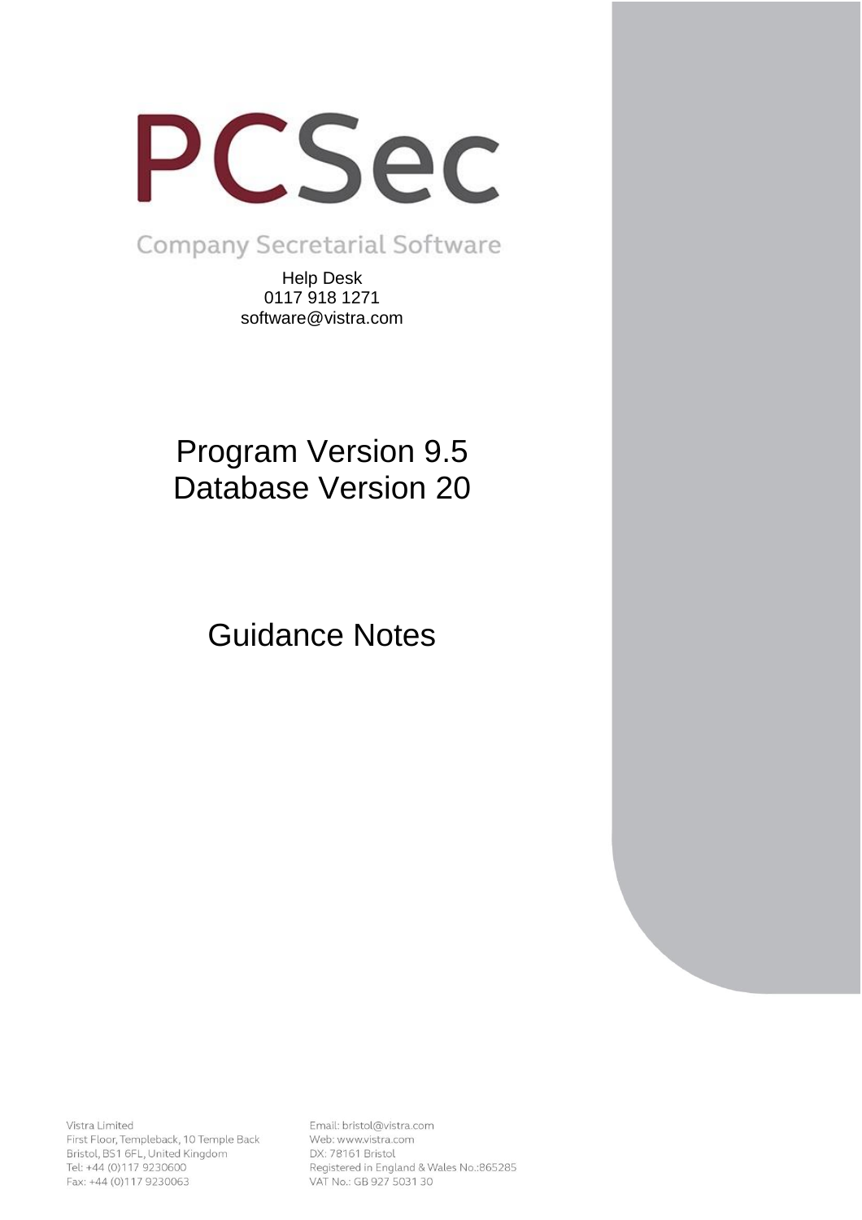

Company Secretarial Software

Help Desk 0117 918 1271 software@vistra.com

# Program Version 9.5 Database Version 20

Guidance Notes

Vistra Limited First Floor, Templeback, 10 Temple Back Bristol, BS1 6FL, United Kingdom Tel: +44 (0)117 9230600 Fax: +44 (0)117 9230063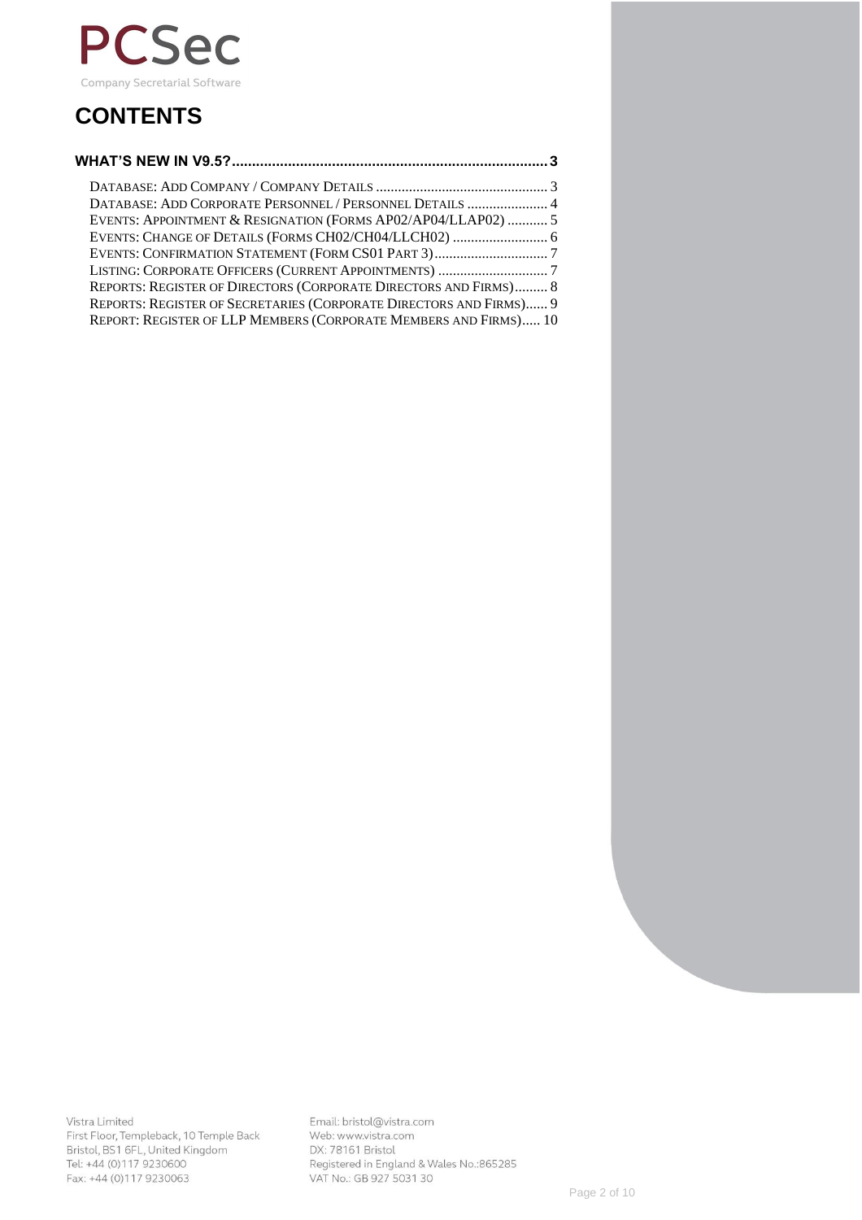

# **CONTENTS**

| DATABASE: ADD CORPORATE PERSONNEL / PERSONNEL DETAILS  4           |  |
|--------------------------------------------------------------------|--|
| EVENTS: APPOINTMENT & RESIGNATION (FORMS AP02/AP04/LLAP02)  5      |  |
|                                                                    |  |
|                                                                    |  |
|                                                                    |  |
| REPORTS: REGISTER OF DIRECTORS (CORPORATE DIRECTORS AND FIRMS) 8   |  |
| REPORTS: REGISTER OF SECRETARIES (CORPORATE DIRECTORS AND FIRMS) 9 |  |
| REPORT: REGISTER OF LLP MEMBERS (CORPORATE MEMBERS AND FIRMS) 10   |  |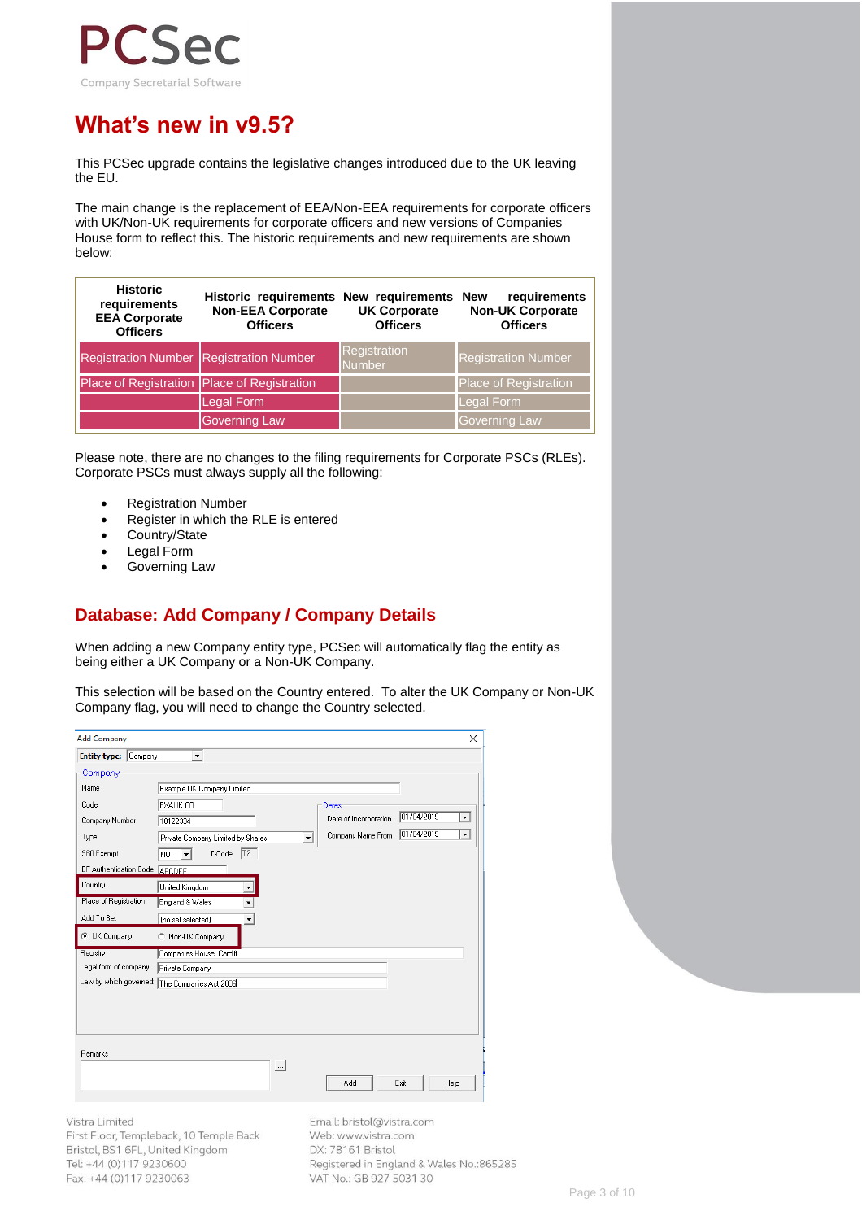

## **What's new in v9.5?**

This PCSec upgrade contains the legislative changes introduced due to the UK leaving the EU.

The main change is the replacement of EEA/Non-EEA requirements for corporate officers with UK/Non-UK requirements for corporate officers and new versions of Companies House form to reflect this. The historic requirements and new requirements are shown below:

| <b>Historic</b><br>requirements<br><b>EEA Corporate</b><br><b>Officers</b> | Historic requirements New requirements<br><b>Non-EEA Corporate</b><br><b>Officers</b> | <b>UK Corporate</b><br><b>Officers</b> | requirements<br><b>New</b><br><b>Non-UK Corporate</b><br><b>Officers</b> |
|----------------------------------------------------------------------------|---------------------------------------------------------------------------------------|----------------------------------------|--------------------------------------------------------------------------|
| <b>Registration Number Registration Number</b>                             |                                                                                       | <b>Registration</b><br><b>Number</b>   | <b>Registration Number</b>                                               |
| Place of Registration Place of Registration                                |                                                                                       |                                        | <b>Place of Registration</b>                                             |
|                                                                            | Legal Form                                                                            |                                        | Legal Form                                                               |
|                                                                            | <b>Governing Law</b>                                                                  |                                        | Governing Law                                                            |

Please note, there are no changes to the filing requirements for Corporate PSCs (RLEs). Corporate PSCs must always supply all the following:

- Registration Number
- Register in which the RLE is entered
- Country/State
- Legal Form
- Governing Law

### **Database: Add Company / Company Details**

When adding a new Company entity type, PCSec will automatically flag the entity as being either a UK Company or a Non-UK Company.

This selection will be based on the Country entered. To alter the UK Company or Non-UK Company flag, you will need to change the Country selected.

| <b>Add Company</b>             |                                                                                    |            | $\times$                 |
|--------------------------------|------------------------------------------------------------------------------------|------------|--------------------------|
| <b>Entity type:</b><br>Company | $\blacktriangledown$                                                               |            |                          |
| Company                        |                                                                                    |            |                          |
| Name                           | Example UK Company Limited                                                         |            |                          |
| Code                           | EXAUK CO<br>Dates                                                                  |            |                          |
| Company Number                 | Date of Incorporation<br>10122334                                                  | 01/04/2019 | $\blacktriangledown$     |
| Type                           | Company Name From<br>Private Company Limited by Shares<br>$\overline{\phantom{a}}$ | 01/04/2019 | $\overline{\phantom{a}}$ |
| S60 Exempt                     | T2 <br>T-Code<br>NO.<br>$\cdot$                                                    |            |                          |
| EF Authentication Code ABCDEF  |                                                                                    |            |                          |
| Country                        | United Kingdom<br>▼                                                                |            |                          |
| Place of Registration          | England & Wales                                                                    |            |                          |
| Add To Set                     | (no set selected)<br>▼                                                             |            |                          |
| C UK Company                   | Non-UK Company<br>C.                                                               |            |                          |
| Registry                       | Companies House, Cardiff                                                           |            |                          |
| Legal form of company:         | Private Company                                                                    |            |                          |
|                                | Law by which governed: The Companies Act 2006                                      |            |                          |
|                                |                                                                                    |            |                          |
|                                |                                                                                    |            |                          |
|                                |                                                                                    |            |                          |
| Remarks                        |                                                                                    |            |                          |
|                                | $\cdots$                                                                           |            |                          |
|                                | Add                                                                                | Exit       | Help                     |
|                                |                                                                                    |            |                          |

Vistra Limited

First Floor, Templeback, 10 Temple Back Bristol, BS1 6FL, United Kingdom Tel: +44 (0)117 9230600 Fax: +44 (0)117 9230063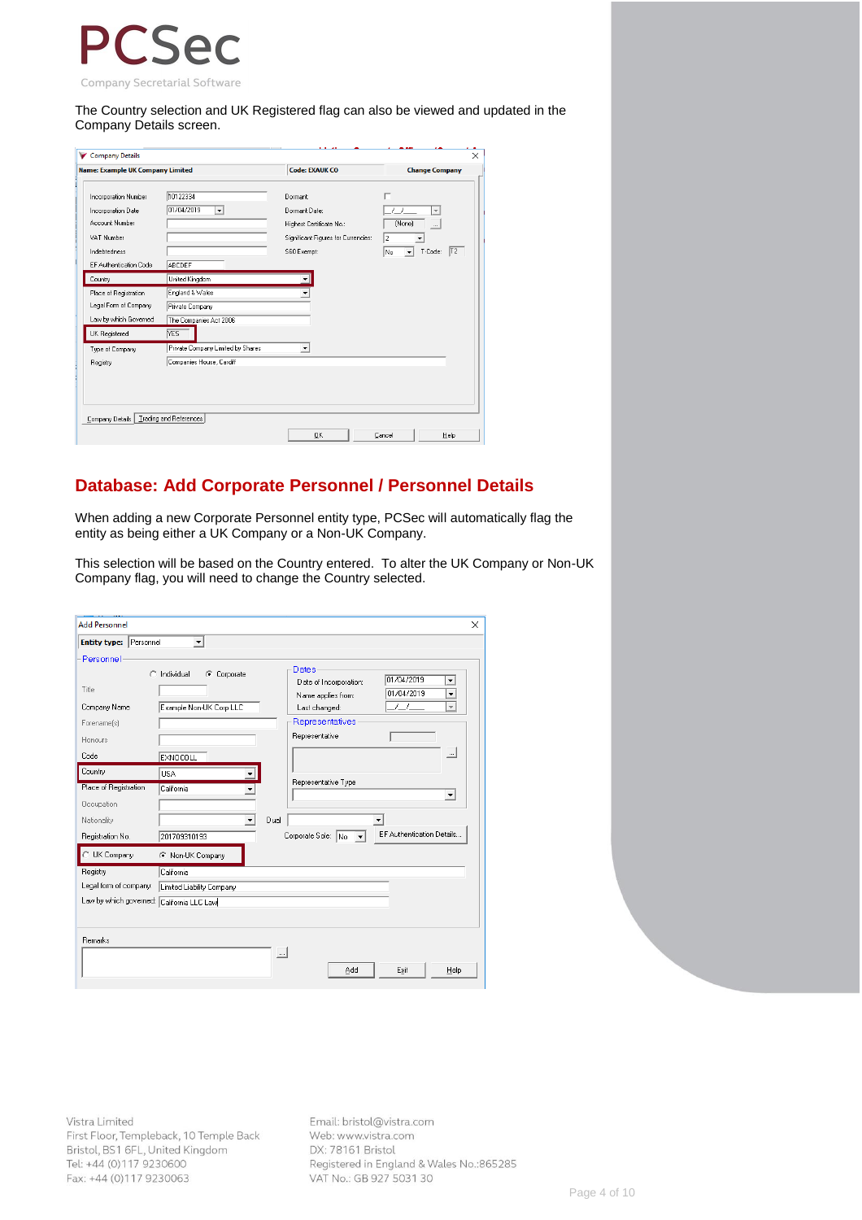

The Country selection and UK Registered flag can also be viewed and updated in the Company Details screen.

| Company Details                                                                                                      |                                                                            |                                                                                                             | ×                                         |
|----------------------------------------------------------------------------------------------------------------------|----------------------------------------------------------------------------|-------------------------------------------------------------------------------------------------------------|-------------------------------------------|
| <b>Name: Example UK Company Limited</b>                                                                              |                                                                            | <b>Code: EXAUK CO</b>                                                                                       | <b>Change Company</b>                     |
| Incorporation Number<br>Incorporation Date<br>Account Number<br>VAT Number<br>Indebtedness<br>EF Authentication Code | 10122334<br>01/04/2019<br>$\overline{\phantom{a}}$<br>ABCDEF               | Dormant:<br>Dormant Date:<br>Highest Certificate No.:<br>Significant Figures for Currencies:<br>S60 Exempt: | п<br>(None)<br>2<br> T2 <br>T-Code:<br>No |
| Country                                                                                                              | United Kingdom                                                             |                                                                                                             |                                           |
| Place of Registration<br>Legal Form of Company<br>Law by which Governed<br>UK Registered                             | England & Wales<br>Private Company<br>The Companies Act 2006<br><b>YES</b> |                                                                                                             |                                           |
| Type of Company<br>Registry                                                                                          | Private Company Limited by Shares<br>Companies House, Cardiff              | $\overline{\phantom{a}}$                                                                                    |                                           |
| Company Details                                                                                                      | Trading and References                                                     | <b>OK</b>                                                                                                   | Cancel<br>Help                            |

#### **Database: Add Corporate Personnel / Personnel Details**

When adding a new Corporate Personnel entity type, PCSec will automatically flag the entity as being either a UK Company or a Non-UK Company.

This selection will be based on the Country entered. To alter the UK Company or Non-UK Company flag, you will need to change the Country selected.

| <b>Add Personnel</b>                      |                                     |          |                                                |                           | $\times$                                             |
|-------------------------------------------|-------------------------------------|----------|------------------------------------------------|---------------------------|------------------------------------------------------|
| Entity type: Personnel                    | $\blacktriangledown$                |          |                                                |                           |                                                      |
| Personnel<br>Title                        | $\bigcap$ Individual<br>C Corporate |          | Dates<br>Date of Incorporation:                | 01/04/2019<br>01/04/2019  | $\overline{\phantom{a}}$<br>$\overline{\phantom{0}}$ |
| Company Name                              | Example Non-UK Corp LLC             |          | Name applies from:<br>Last changed:            | $\prime$ $\prime$         | $\overline{\phantom{a}}$                             |
| Forename(s)<br>Honours                    |                                     |          | Representatives<br>Representative              |                           |                                                      |
| Code                                      | <b>EXNOCOLL</b>                     |          |                                                |                           | $\sim$                                               |
| Country                                   | <b>USA</b>                          |          |                                                |                           |                                                      |
| Place of Registration<br>Occupation       | California                          |          | Representative Type                            |                           | $\blacktriangledown$                                 |
| Nationality                               | $\blacktriangledown$                | Dual     |                                                |                           |                                                      |
| Registration No.                          | 201709310193                        |          | Corporate Sole: No<br>$\vert \mathbf{v} \vert$ | EF Authentication Details |                                                      |
| UK Company                                | C Non-UK Company                    |          |                                                |                           |                                                      |
| Registry                                  | California                          |          |                                                |                           |                                                      |
| Legal form of company:                    | Limited Liability Company           |          |                                                |                           |                                                      |
| Law by which governed: California LLC Law |                                     |          |                                                |                           |                                                      |
|                                           |                                     |          |                                                |                           |                                                      |
| Remarks                                   |                                     |          |                                                |                           |                                                      |
|                                           |                                     | $\cdots$ |                                                |                           |                                                      |
|                                           |                                     |          | Add                                            | Exit                      | Help                                                 |

Vistra Limited First Floor, Templeback, 10 Temple Back Bristol, BS1 6FL, United Kingdom Tel: +44 (0)117 9230600 Fax: +44 (0)117 9230063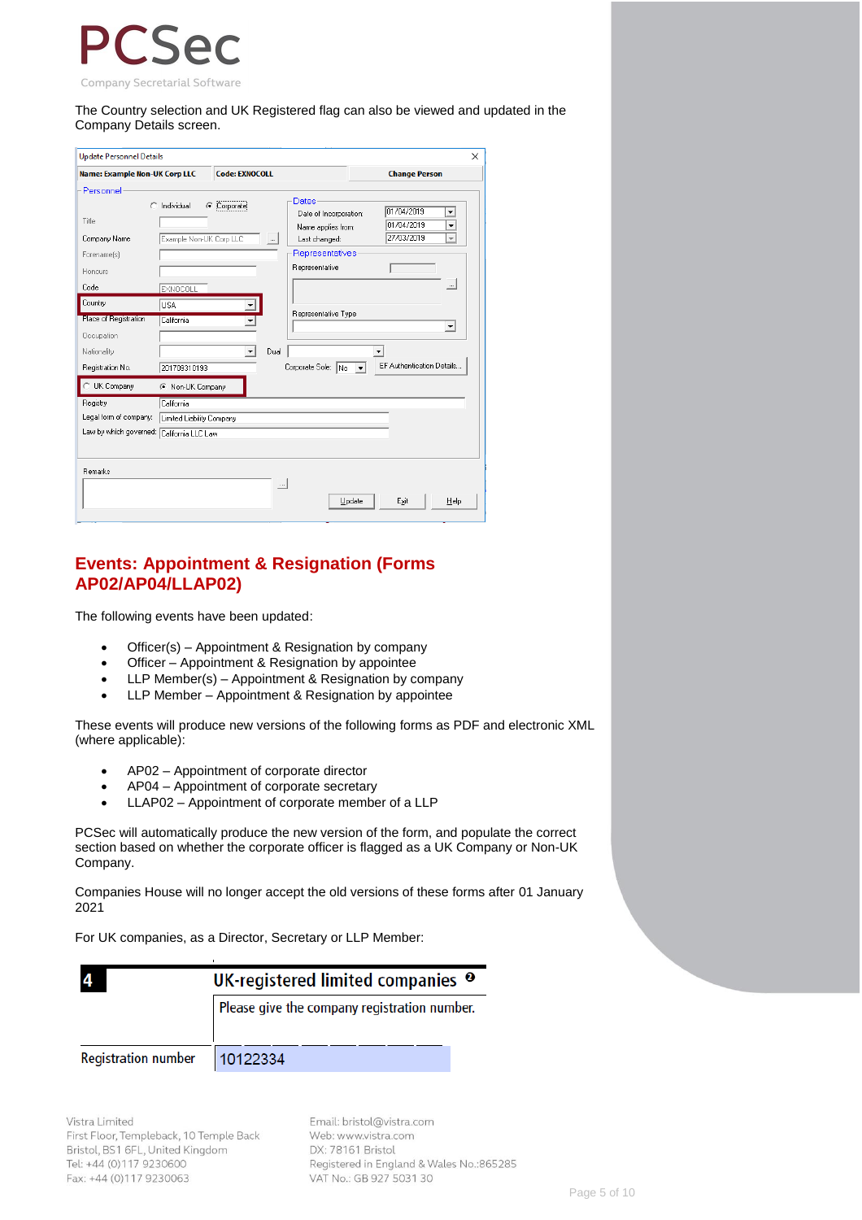

The Country selection and UK Registered flag can also be viewed and updated in the Company Details screen.

| <b>Update Personnel Details</b>                                                                                                       |                                                                                      |                       |                  |                                                                                                                                           |                                        | $\times$                                                                   |
|---------------------------------------------------------------------------------------------------------------------------------------|--------------------------------------------------------------------------------------|-----------------------|------------------|-------------------------------------------------------------------------------------------------------------------------------------------|----------------------------------------|----------------------------------------------------------------------------|
| <b>Name: Example Non-UK Corp LLC</b>                                                                                                  |                                                                                      | <b>Code: EXNOCOLL</b> |                  |                                                                                                                                           | <b>Change Person</b>                   |                                                                            |
| Personnel<br>Title<br>Company Name<br>Forename(s)<br>Honours<br>Code<br>Country<br>Place of Registration<br>Occupation<br>Nationality | Individual<br>Example Non-UK Corp LLC<br><b>EXNOCOLL</b><br><b>USA</b><br>California | C Corporate<br>▼      | $\ldots$<br>Dual | <b>Dates</b><br>Date of Incorporation:<br>Name applies from:<br>Last changed:<br>Representatives<br>Representative<br>Representative Type | 01/04/2019<br>01/04/2019<br>27/03/2019 | ▼<br>$\overline{\phantom{a}}$<br>$\overline{\phantom{a}}$<br>$\cdots$<br>▼ |
| Registration No.                                                                                                                      | 201709310193                                                                         |                       |                  | Corporate Sole: $\overline{N_0}$ $\overline{\mathbf{v}}$                                                                                  |                                        | EF Authentication Details                                                  |
| UK Company<br>Registry<br>Legal form of company:<br>Law by which governed: California LLC Law                                         | C Non-UK Company<br>California<br>Limited Liability Company                          |                       |                  |                                                                                                                                           |                                        |                                                                            |
| Remarks                                                                                                                               |                                                                                      |                       | $\ldots$         | Update                                                                                                                                    | Exit                                   | Help                                                                       |

#### **Events: Appointment & Resignation (Forms AP02/AP04/LLAP02)**

The following events have been updated:

- Officer(s) Appointment & Resignation by company
- Officer Appointment & Resignation by appointee
- LLP Member(s) Appointment & Resignation by company
- LLP Member Appointment & Resignation by appointee

These events will produce new versions of the following forms as PDF and electronic XML (where applicable):

- AP02 Appointment of corporate director
- AP04 Appointment of corporate secretary
- LLAP02 Appointment of corporate member of a LLP

PCSec will automatically produce the new version of the form, and populate the correct section based on whether the corporate officer is flagged as a UK Company or Non-UK Company.

Companies House will no longer accept the old versions of these forms after 01 January 2021

For UK companies, as a Director, Secretary or LLP Member:

|                            | UK-registered limited companies <sup>o</sup> |
|----------------------------|----------------------------------------------|
|                            | Please give the company registration number. |
| <b>Registration number</b> | 10122334                                     |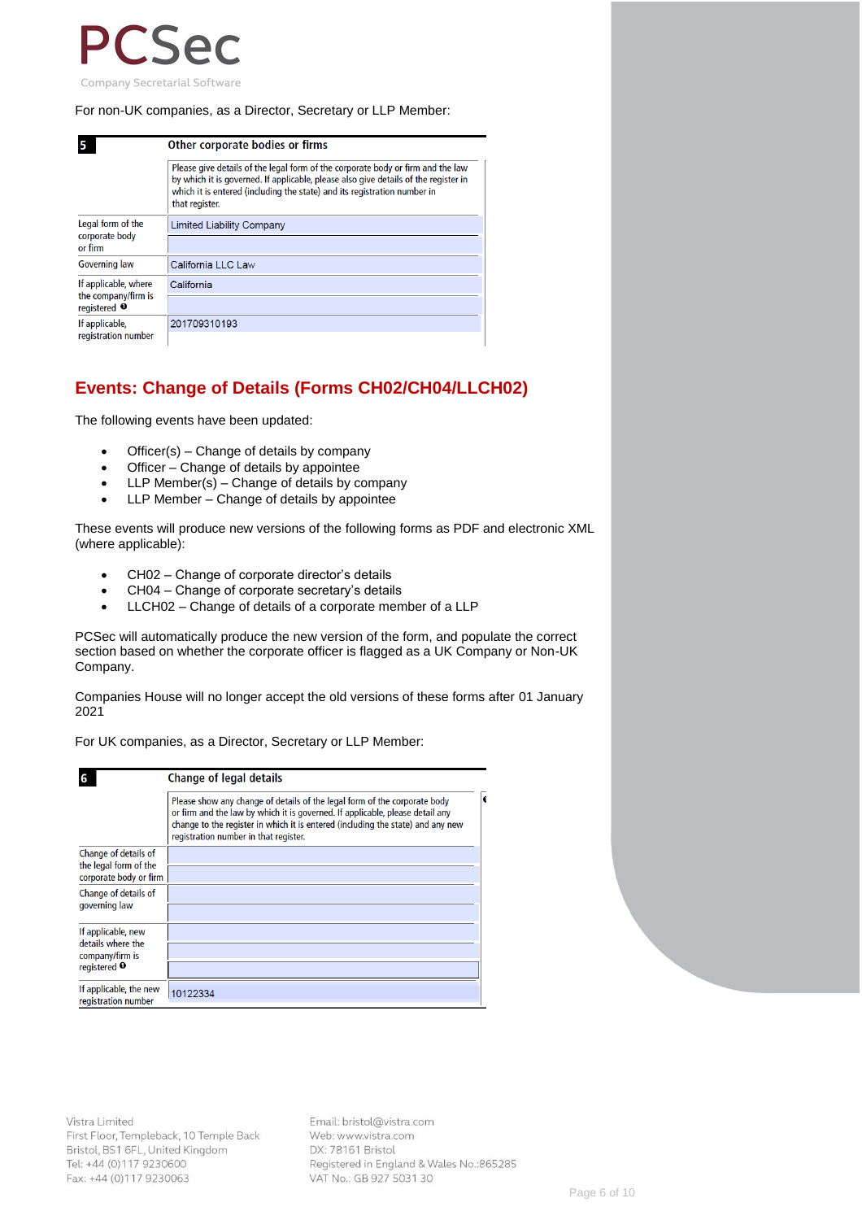

#### For non-UK companies, as a Director, Secretary or LLP Member:

|                                               | Other corporate bodies or firms                                                                                                                                                                                                                                      |
|-----------------------------------------------|----------------------------------------------------------------------------------------------------------------------------------------------------------------------------------------------------------------------------------------------------------------------|
|                                               | Please give details of the legal form of the corporate body or firm and the law<br>by which it is governed. If applicable, please also give details of the register in<br>which it is entered (including the state) and its registration number in<br>that register. |
| Legal form of the<br>corporate body           | <b>Limited Liability Company</b>                                                                                                                                                                                                                                     |
| or firm                                       |                                                                                                                                                                                                                                                                      |
| <b>Governing law</b>                          | California LLC Law                                                                                                                                                                                                                                                   |
| If applicable, where                          | California                                                                                                                                                                                                                                                           |
| the company/firm is<br>registered $\mathbf 0$ |                                                                                                                                                                                                                                                                      |
| If applicable,                                | 201709310193                                                                                                                                                                                                                                                         |
| registration number                           |                                                                                                                                                                                                                                                                      |

#### **Events: Change of Details (Forms CH02/CH04/LLCH02)**

The following events have been updated:

- Officer(s) Change of details by company
- Officer Change of details by appointee
- LLP Member(s) Change of details by company
- LLP Member Change of details by appointee

These events will produce new versions of the following forms as PDF and electronic XML (where applicable):

- CH02 Change of corporate director's details
- CH04 Change of corporate secretary's details
- LLCH02 Change of details of a corporate member of a LLP

PCSec will automatically produce the new version of the form, and populate the correct section based on whether the corporate officer is flagged as a UK Company or Non-UK Company.

Companies House will no longer accept the old versions of these forms after 01 January 2021

For UK companies, as a Director, Secretary or LLP Member:

|                                                                                       | <b>Change of legal details</b>                                                                                                                                                                                                                                                         |
|---------------------------------------------------------------------------------------|----------------------------------------------------------------------------------------------------------------------------------------------------------------------------------------------------------------------------------------------------------------------------------------|
|                                                                                       | Please show any change of details of the legal form of the corporate body<br>or firm and the law by which it is governed. If applicable, please detail any<br>change to the register in which it is entered (including the state) and any new<br>registration number in that register. |
| Change of details of<br>the legal form of the<br>corporate body or firm               |                                                                                                                                                                                                                                                                                        |
| Change of details of<br>governing law                                                 |                                                                                                                                                                                                                                                                                        |
| If applicable, new<br>details where the<br>company/firm is<br>registered <sup>O</sup> |                                                                                                                                                                                                                                                                                        |
| If applicable, the new<br>registration number                                         | 10122334                                                                                                                                                                                                                                                                               |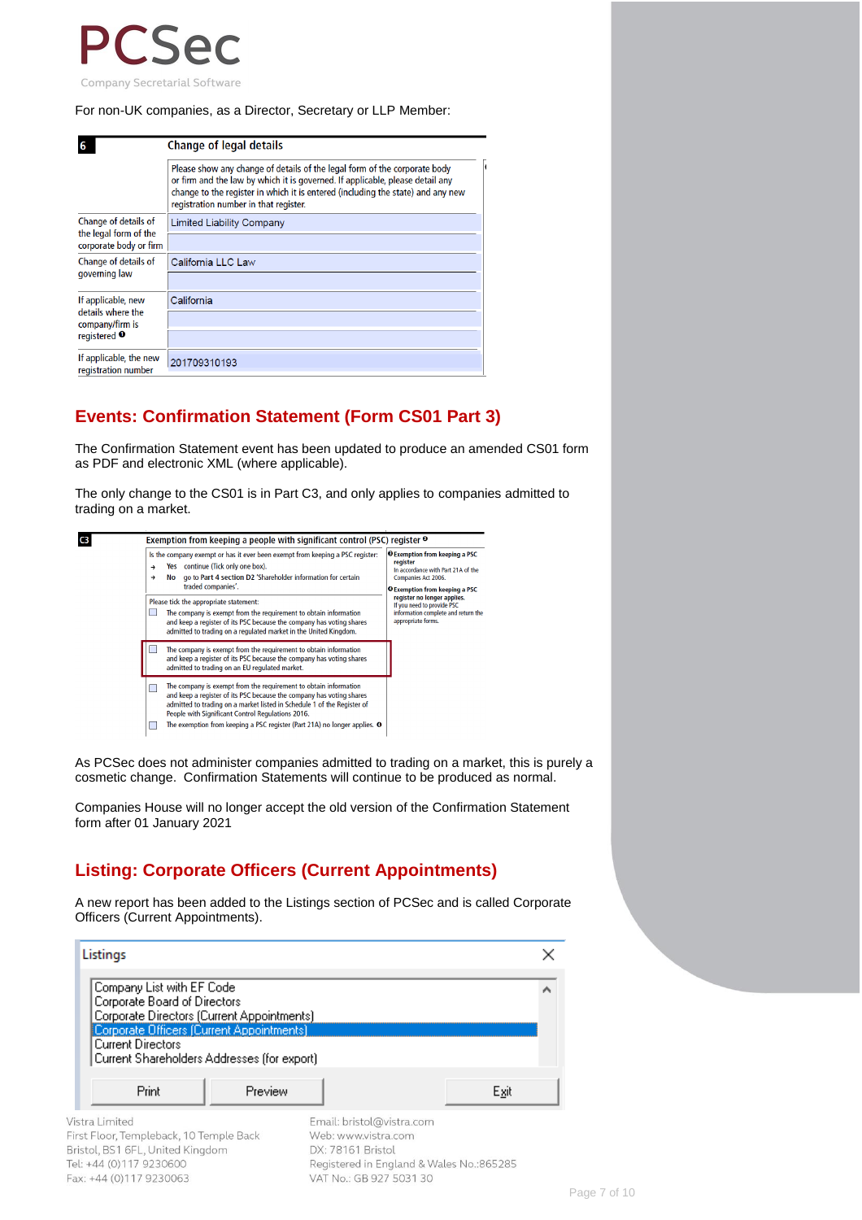

#### For non-UK companies, as a Director, Secretary or LLP Member:

|                                                 | <b>Change of legal details</b>                                                                                                                                                                                                                                                         |  |  |  |  |  |
|-------------------------------------------------|----------------------------------------------------------------------------------------------------------------------------------------------------------------------------------------------------------------------------------------------------------------------------------------|--|--|--|--|--|
|                                                 | Please show any change of details of the legal form of the corporate body<br>or firm and the law by which it is governed. If applicable, please detail any<br>change to the register in which it is entered (including the state) and any new<br>registration number in that register. |  |  |  |  |  |
| Change of details of                            | <b>Limited Liability Company</b>                                                                                                                                                                                                                                                       |  |  |  |  |  |
| the legal form of the<br>corporate body or firm |                                                                                                                                                                                                                                                                                        |  |  |  |  |  |
| Change of details of                            | California LLC Law                                                                                                                                                                                                                                                                     |  |  |  |  |  |
| governing law                                   |                                                                                                                                                                                                                                                                                        |  |  |  |  |  |
| If applicable, new                              | California                                                                                                                                                                                                                                                                             |  |  |  |  |  |
| details where the<br>company/firm is            |                                                                                                                                                                                                                                                                                        |  |  |  |  |  |
| registered <sup>O</sup>                         |                                                                                                                                                                                                                                                                                        |  |  |  |  |  |
| If applicable, the new<br>registration number   | 201709310193                                                                                                                                                                                                                                                                           |  |  |  |  |  |

#### **Events: Confirmation Statement (Form CS01 Part 3)**

The Confirmation Statement event has been updated to produce an amended CS01 form as PDF and electronic XML (where applicable).

The only change to the CS01 is in Part C3, and only applies to companies admitted to trading on a market.



As PCSec does not administer companies admitted to trading on a market, this is purely a cosmetic change. Confirmation Statements will continue to be produced as normal.

Companies House will no longer accept the old version of the Confirmation Statement form after 01 January 2021

### **Listing: Corporate Officers (Current Appointments)**

A new report has been added to the Listings section of PCSec and is called Corporate Officers (Current Appointments).

| Company List with EF Code                                                  |                   |                           |
|----------------------------------------------------------------------------|-------------------|---------------------------|
| Corporate Board of Directors                                               |                   |                           |
| Corporate Directors (Current Appointments)                                 |                   |                           |
| Corporate Officers (Current Appointments)                                  |                   |                           |
| <b>Current Directors</b>                                                   |                   |                           |
|                                                                            |                   |                           |
| Current Shareholders Addresses (for export)                                |                   |                           |
|                                                                            |                   |                           |
| Print                                                                      | Preview           | Exit                      |
|                                                                            |                   |                           |
| /istra Limited                                                             |                   | Email: bristol@vistra.com |
| irst Floor, Templeback, 10 Temple Back<br>Bristol, BS1 6FL, United Kingdom | DX: 78161 Bristol | Web: www.vistra.com       |

Fax: +44 (0)117 9230063

VAT No.: GB 927 5031 30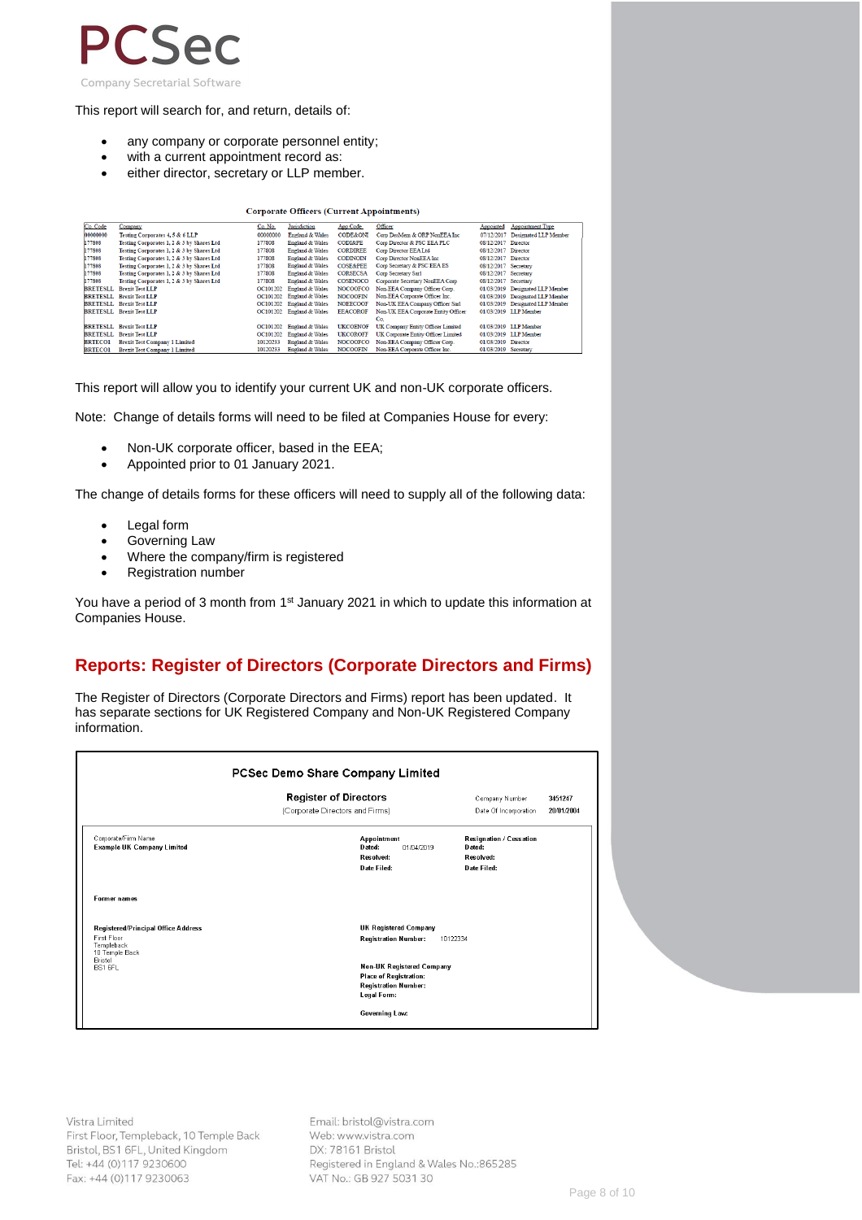

This report will search for, and return, details of:

- any company or corporate personnel entity;
- with a current appointment record as:
- either director, secretary or LLP member.

| <b>Corporate Officers (Current Appointments)</b> |                                           |          |                            |                     |                                     |                      |                                  |
|--------------------------------------------------|-------------------------------------------|----------|----------------------------|---------------------|-------------------------------------|----------------------|----------------------------------|
| Co. Code                                         | Company                                   | Co. No.  | Jurisdiction               | App Code            | Officer                             | Appointed            | <b>Appointment Type</b>          |
| 0000000                                          | Testing Corporates 4, 5 & 6 LLP           | 00000000 | <b>England &amp; Wales</b> | <b>CODE&amp;ONI</b> | Corp DesMem & ORP NonEEA Inc.       |                      | 07/12/2017 Designated LLP Member |
| 77808                                            | Testing Corporates 1, 2 & 3 by Shares Ltd | 177808   | <b>England &amp; Wales</b> | <b>CODI&amp;PE</b>  | Corp Director & PSC EEA PLC         | 08/12/2017 Director  |                                  |
| 77808                                            | Testing Corporates 1, 2 & 3 by Shares Ltd | 177808   | <b>England &amp; Wales</b> | <b>CORDIREE</b>     | Corp Director EEA Ltd               | 08/12/2017 Director  |                                  |
| 77808                                            | Testing Corporates 1, 2 & 3 by Shares Ltd | 177808   | England & Wales            | <b>CODINOIN</b>     | Corp Director NonEEA Inc            | 08/12/2017 Director  |                                  |
| 77808                                            | Testing Corporates 1, 2 & 3 by Shares Ltd | 177808   | <b>England &amp; Wales</b> | <b>COSE&amp;PEE</b> | Corp Secretary & PSC EEA ES         | 08/12/2017 Secretary |                                  |
| 77808                                            | Testing Corporates 1, 2 & 3 by Shares Ltd | 177808   | <b>England &amp; Wales</b> | <b>CORSECSA</b>     | Corp Secretary Sarl                 | 08/12/2017 Secretary |                                  |
| 77808                                            | Testing Corporates 1, 2 & 3 by Shares Ltd | 177808   | England & Wales            | COSENOCO            | Corporate Secretary NonEEA Corp.    | 08/12/2017 Secretary |                                  |
| RETESLL                                          | <b>Brexit Test LLP</b>                    | OC101202 | <b>England &amp; Wales</b> | <b>NOCOOFCO</b>     | Non-EEA Company Officer Corp.       |                      | 01/03/2019 Designated LLP Member |
| <b>SRETESLL</b>                                  | <b>Brexit Test LLP</b>                    | OC101202 | <b>England &amp; Wales</b> | <b>NOCOOFIN</b>     | Non-EEA Corporate Officer Inc.      |                      | 01/03/2019 Designated LLP Member |
|                                                  | RETESLL Brexit Test LLP                   | OC101202 | England & Wales            | <b>NOEECOOF</b>     | Non-UK EEA Company Officer Sarl     |                      | 01/03/2019 Designated LLP Member |
|                                                  | RETESLL Brexit Test LLP                   |          | OC101202 England & Wales   | <b>EEACOROF</b>     | Non-UK EEA Corporate Entity Officer |                      | 01/03/2019 LLP Member            |
|                                                  |                                           |          |                            |                     | Co.                                 |                      |                                  |
|                                                  | <b>SRETESLL</b> Brexit Test LLP           | OC101202 | England & Wales            | <b>UKCOENOF</b>     | UK Company Entity Officer Limited   |                      | 01/03/2019 LLP Member            |
|                                                  | RETESLL Brexit Test LLP                   | OC101202 | England & Wales            | <b>UKCOROFF</b>     | UK Corporate Entity Officer Limited |                      | 01/03/2019 LLP Member            |
| <b>RTECO1</b>                                    | <b>Brexit Test Company 1 Limited</b>      | 10120233 | <b>England &amp; Wales</b> | <b>NOCOOFCO</b>     | Non-EEA Company Officer Corp.       | 01/03/2019 Director  |                                  |
|                                                  |                                           |          |                            |                     |                                     |                      |                                  |

This report will allow you to identify your current UK and non-UK corporate officers.

Note: Change of details forms will need to be filed at Companies House for every:

- Non-UK corporate officer, based in the EEA;
- Appointed prior to 01 January 2021.

The change of details forms for these officers will need to supply all of the following data:

- Legal form
- Governing Law
- Where the company/firm is registered
- Registration number

You have a period of 3 month from 1<sup>st</sup> January 2021 in which to update this information at Companies House.

### **Reports: Register of Directors (Corporate Directors and Firms)**

The Register of Directors (Corporate Directors and Firms) report has been updated. It has separate sections for UK Registered Company and Non-UK Registered Company information.

|                                                                                                          | <b>Register of Directors</b>                                                                             | Company Number                                                | 3451247    |
|----------------------------------------------------------------------------------------------------------|----------------------------------------------------------------------------------------------------------|---------------------------------------------------------------|------------|
|                                                                                                          | (Corporate Directors and Firms)                                                                          | Date Of Incorporation                                         | 20/01/2004 |
| Corporate/Firm Name<br><b>Example UK Company Limited</b>                                                 | Appointment<br>Dated:<br>01/04/2019<br>Resolved:<br>Date Filed:                                          | Resignation / Cessation<br>Dated:<br>Resolved:<br>Date Filed: |            |
| <b>Former names</b>                                                                                      |                                                                                                          |                                                               |            |
| Registered/Principal Office Address<br>First Floor<br>Templeback<br>10 Temple Back<br>Bristol<br>BS1 6FL | UK Registered Company<br><b>Registration Number:</b>                                                     | 10122334                                                      |            |
|                                                                                                          | <b>Non-UK Registered Company</b><br>Place of Registration:<br><b>Registration Number:</b><br>Legal Form: |                                                               |            |

Vistra Limited First Floor, Templeback, 10 Temple Back Bristol, BS1 6FL, United Kingdom Tel: +44 (0)117 9230600 Fax: +44 (0)117 9230063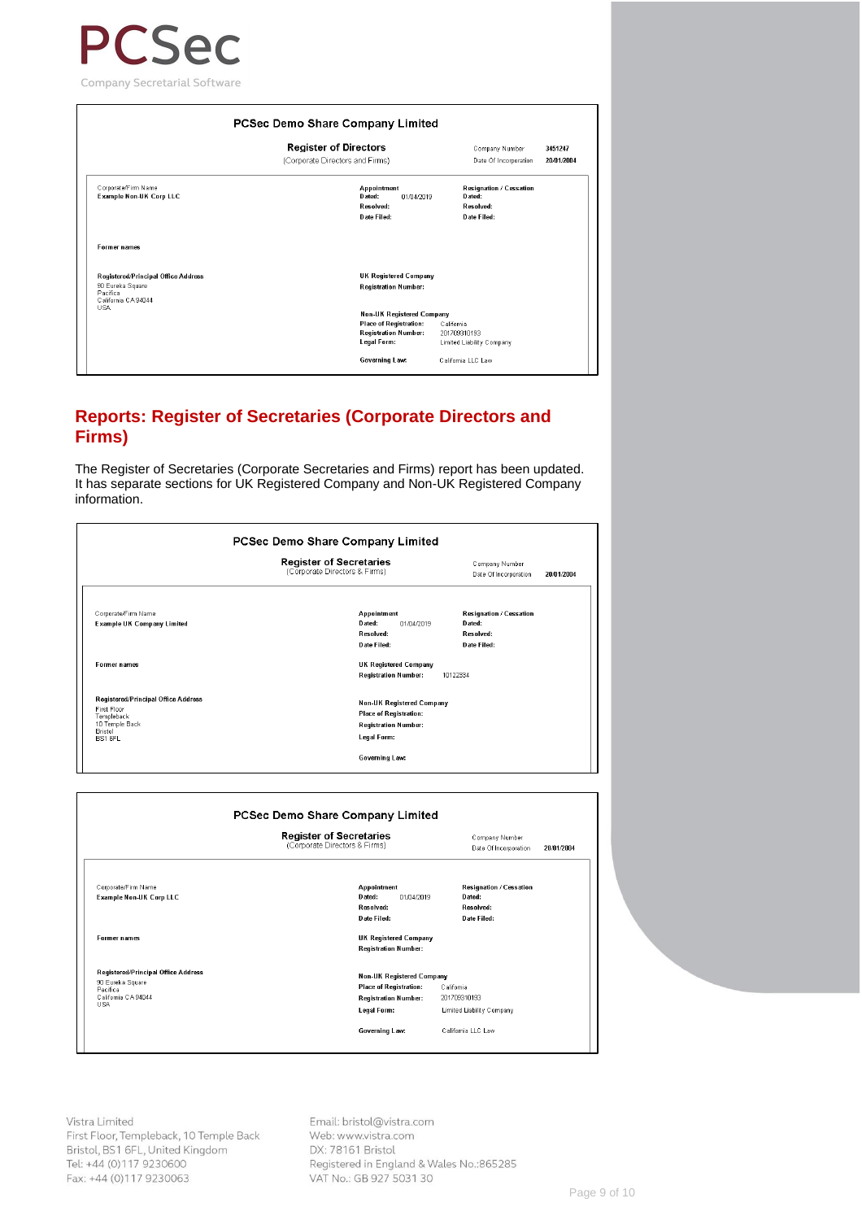

Former names

R**egistered/Principal Office Address**<br>90 Eureka Square<br>Pacifica<br>Califomia CA94044<br>USA

3451247 Company Number 20/01/2004 Date Of Incorporation Resignation / Cessation<br>Dated: Appointment<br>Dated: 01/04/2019 Received: Recolved: Date Filed: Date Filed: UK Registered Company Registration Number: Non-UK Registered Company<br>Place of Registration: Cali<br>Registration Number: 2017<br>Legal Form: Limi

.......<br>California<br>201709310193<br>Limited Liability Company

California LLC Law

#### **Reports: Register of Secretaries (Corporate Directors and Firms)**

The Register of Secretaries (Corporate Secretaries and Firms) report has been updated. It has separate sections for UK Registered Company and Non-UK Registered Company information.

Governing Law:

|                                                                                                                          | <b>Register of Secretaries</b><br>(Corporate Directors & Firms)                                                 | Company Number<br>Date Of Incorporation                        | 20/01/2004 |
|--------------------------------------------------------------------------------------------------------------------------|-----------------------------------------------------------------------------------------------------------------|----------------------------------------------------------------|------------|
| Corporate/Firm Name<br><b>Example UK Company Limited</b>                                                                 | <b>Appointment</b><br>D ated:<br>01/04/2019<br>Resolved:<br>Date Filed:                                         | Resignation / Cessation<br>Dated:<br>Resolved:<br>Date Filed:  |            |
| <b>Former names</b>                                                                                                      | UK Registered Company<br><b>Registration Number:</b>                                                            | 10122334                                                       |            |
| Registered/Principal Office Address<br>First Floor<br>Templeback<br>10 Temple Back<br>Bristol<br><b>BS1 6FL</b>          | <b>Non-UK Registered Company</b><br><b>Place of Registration:</b><br><b>Registration Number:</b><br>Legal Form: |                                                                |            |
|                                                                                                                          | Governing Law:                                                                                                  |                                                                |            |
|                                                                                                                          | PCSec Demo Share Company Limited                                                                                |                                                                |            |
|                                                                                                                          | <b>Register of Secretaries</b><br>(Corporate Directors & Firms)                                                 | Company Number<br>Date Of Incorporation                        | 20/01/2004 |
| Corporate/Firm Name<br>Example Non-UK Corp LLC                                                                           | <b>Appointment</b><br>Dated:<br>01/04/2019<br>Resolved:<br>Date Filed:                                          | Resignation / Cessation<br>D ated:<br>Resolved:<br>Date Filed: |            |
|                                                                                                                          | UK Registered Company<br><b>Registration Number:</b>                                                            |                                                                |            |
| Former names<br>Registered/Principal Office Address<br>90 Eureka Square<br>Pacifica<br>California CA 94044<br><b>USA</b> | <b>Non-UK Registered Company</b><br><b>Place of Registration:</b><br><b>Registration Number:</b><br>Legal Form: | California<br>201709310193<br>Limited Liability Company        |            |

Vistra Limited First Floor, Templeback, 10 Temple Back Bristol, BS1 6FL, United Kingdom Tel: +44 (0)117 9230600 Fax: +44 (0)117 9230063